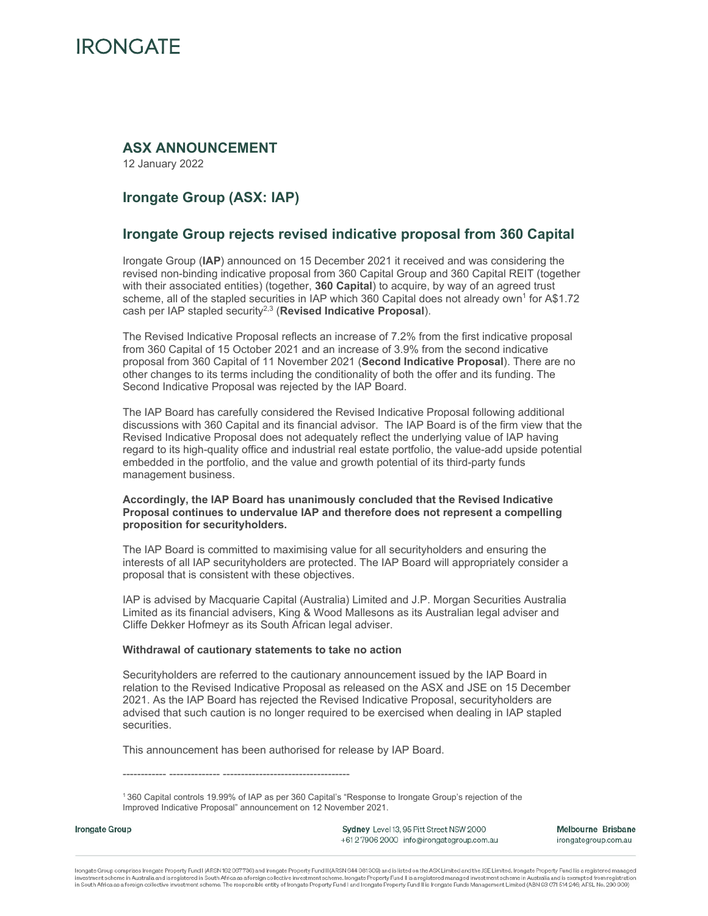

## **ASX ANNOUNCEMENT**

12 January 2022

# **Irongate Group (ASX: IAP)**

## **Irongate Group rejects revised indicative proposal from 360 Capital**

Irongate Group (**IAP**) announced on 15 December 2021 it received and was considering the revised non-binding indicative proposal from 360 Capital Group and 360 Capital REIT (together with their associated entities) (together, **360 Capital**) to acquire, by way of an agreed trust scheme, all of the stapled securities in IAP which 360 Capital does not already own<sup>1</sup> for A\$1.72 cash per IAP stapled security2,3 (**Revised Indicative Proposal**).

The Revised Indicative Proposal reflects an increase of 7.2% from the first indicative proposal from 360 Capital of 15 October 2021 and an increase of 3.9% from the second indicative proposal from 360 Capital of 11 November 2021 (**Second Indicative Proposal**). There are no other changes to its terms including the conditionality of both the offer and its funding. The Second Indicative Proposal was rejected by the IAP Board.

The IAP Board has carefully considered the Revised Indicative Proposal following additional discussions with 360 Capital and its financial advisor. The IAP Board is of the firm view that the Revised Indicative Proposal does not adequately reflect the underlying value of IAP having regard to its high-quality office and industrial real estate portfolio, the value-add upside potential embedded in the portfolio, and the value and growth potential of its third-party funds management business.

#### **Accordingly, the IAP Board has unanimously concluded that the Revised Indicative Proposal continues to undervalue IAP and therefore does not represent a compelling proposition for securityholders.**

The IAP Board is committed to maximising value for all securityholders and ensuring the interests of all IAP securityholders are protected. The IAP Board will appropriately consider a proposal that is consistent with these objectives.

IAP is advised by Macquarie Capital (Australia) Limited and J.P. Morgan Securities Australia Limited as its financial advisers, King & Wood Mallesons as its Australian legal adviser and Cliffe Dekker Hofmeyr as its South African legal adviser.

#### **Withdrawal of cautionary statements to take no action**

------------ -------------- -----------------------------------

Securityholders are referred to the cautionary announcement issued by the IAP Board in relation to the Revised Indicative Proposal as released on the ASX and JSE on 15 December 2021. As the IAP Board has rejected the Revised Indicative Proposal, securityholders are advised that such caution is no longer required to be exercised when dealing in IAP stapled securities.

This announcement has been authorised for release by IAP Board.

1 360 Capital controls 19.99% of IAP as per 360 Capital's "Response to Irongate Group's rejection of the Improved Indicative Proposal" announcement on 12 November 2021.

Irongate Group

Sydney Level 13, 95 Pitt Street NSW 2000 +612 7906 2000 info@irongategroup.com.au Melbourne Brisbane irongategroup.com.au

irongate Group comprises Irongate Property Fund I (ARSN 162 067736) and Irongate Property Fund II (ARSN 644 081 309) and is listed on the ASX Limited and the JSE Limited. Irongate Property Fund I is a registered managed investment scheme in Australia and is registered in South Africa as a foreign collective investment scheme. Irongate Property Fund II is a registered managed investment scheme in Australia and is exempted from registration